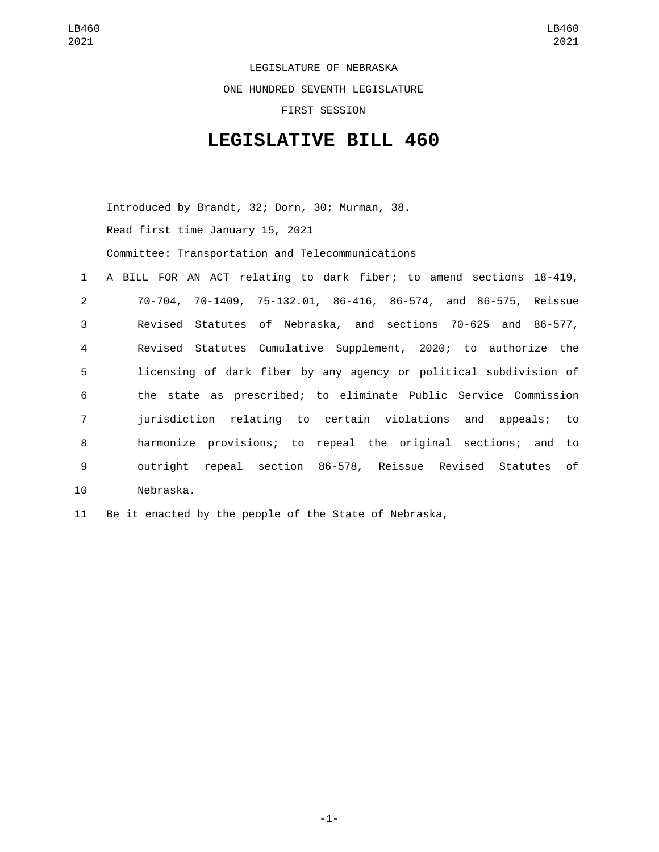LEGISLATURE OF NEBRASKA ONE HUNDRED SEVENTH LEGISLATURE FIRST SESSION

## **LEGISLATIVE BILL 460**

Introduced by Brandt, 32; Dorn, 30; Murman, 38. Read first time January 15, 2021 Committee: Transportation and Telecommunications

| 1              | A BILL FOR AN ACT relating to dark fiber; to amend sections 18-419, |
|----------------|---------------------------------------------------------------------|
| 2              | 70-704, 70-1409, 75-132.01, 86-416, 86-574, and 86-575, Reissue     |
| 3              | Revised Statutes of Nebraska, and sections 70-625 and 86-577,       |
| $\overline{4}$ | Revised Statutes Cumulative Supplement, 2020; to authorize the      |
| 5              | licensing of dark fiber by any agency or political subdivision of   |
| 6              | the state as prescribed; to eliminate Public Service Commission     |
| $\overline{7}$ | jurisdiction relating to certain violations and appeals; to         |
| 8              | harmonize provisions; to repeal the original sections; and to       |
| 9              | outright repeal section 86-578, Reissue Revised Statutes of         |
| 10             | Nebraska.                                                           |

11 Be it enacted by the people of the State of Nebraska,

-1-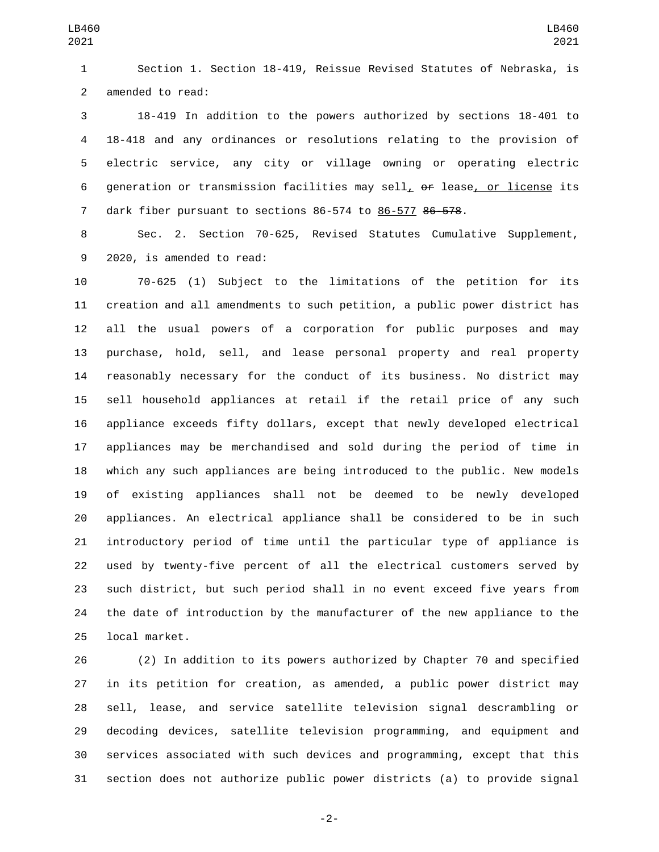Section 1. Section 18-419, Reissue Revised Statutes of Nebraska, is 2 amended to read:

 18-419 In addition to the powers authorized by sections 18-401 to 18-418 and any ordinances or resolutions relating to the provision of electric service, any city or village owning or operating electric generation or transmission facilities may sell, or lease, or license its 7 dark fiber pursuant to sections 86-574 to 86-577 86-578.

 Sec. 2. Section 70-625, Revised Statutes Cumulative Supplement, 9 2020, is amended to read:

 70-625 (1) Subject to the limitations of the petition for its creation and all amendments to such petition, a public power district has all the usual powers of a corporation for public purposes and may purchase, hold, sell, and lease personal property and real property reasonably necessary for the conduct of its business. No district may sell household appliances at retail if the retail price of any such appliance exceeds fifty dollars, except that newly developed electrical appliances may be merchandised and sold during the period of time in which any such appliances are being introduced to the public. New models of existing appliances shall not be deemed to be newly developed appliances. An electrical appliance shall be considered to be in such introductory period of time until the particular type of appliance is used by twenty-five percent of all the electrical customers served by such district, but such period shall in no event exceed five years from the date of introduction by the manufacturer of the new appliance to the 25 local market.

 (2) In addition to its powers authorized by Chapter 70 and specified in its petition for creation, as amended, a public power district may sell, lease, and service satellite television signal descrambling or decoding devices, satellite television programming, and equipment and services associated with such devices and programming, except that this section does not authorize public power districts (a) to provide signal

-2-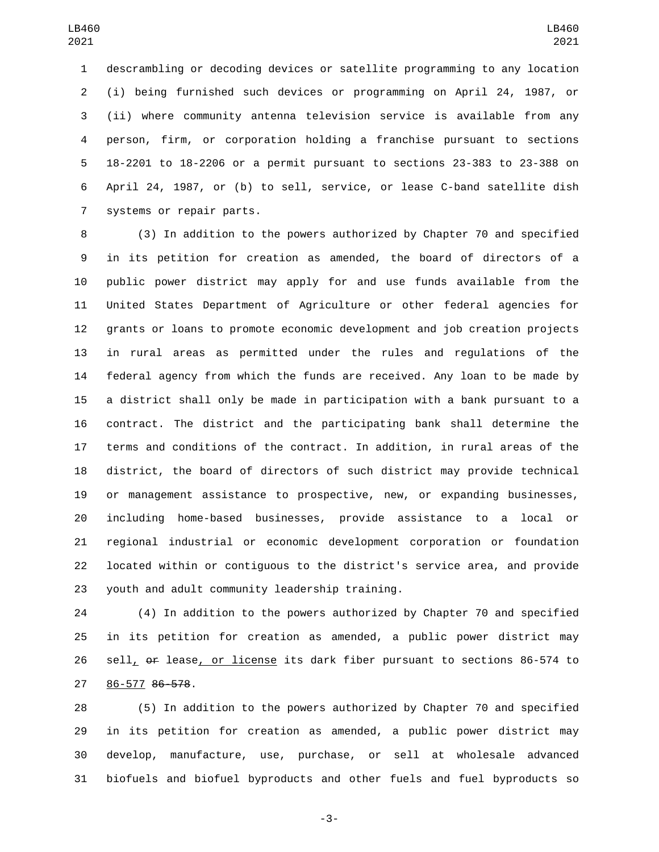descrambling or decoding devices or satellite programming to any location (i) being furnished such devices or programming on April 24, 1987, or (ii) where community antenna television service is available from any person, firm, or corporation holding a franchise pursuant to sections 18-2201 to 18-2206 or a permit pursuant to sections 23-383 to 23-388 on April 24, 1987, or (b) to sell, service, or lease C-band satellite dish 7 systems or repair parts.

 (3) In addition to the powers authorized by Chapter 70 and specified in its petition for creation as amended, the board of directors of a public power district may apply for and use funds available from the United States Department of Agriculture or other federal agencies for grants or loans to promote economic development and job creation projects in rural areas as permitted under the rules and regulations of the federal agency from which the funds are received. Any loan to be made by a district shall only be made in participation with a bank pursuant to a contract. The district and the participating bank shall determine the terms and conditions of the contract. In addition, in rural areas of the district, the board of directors of such district may provide technical or management assistance to prospective, new, or expanding businesses, including home-based businesses, provide assistance to a local or regional industrial or economic development corporation or foundation located within or contiguous to the district's service area, and provide 23 youth and adult community leadership training.

 (4) In addition to the powers authorized by Chapter 70 and specified in its petition for creation as amended, a public power district may 26 sell<sub>L</sub> or lease<sub>L</sub> or license its dark fiber pursuant to sections 86-574 to 27 86-577 86-578.

 (5) In addition to the powers authorized by Chapter 70 and specified in its petition for creation as amended, a public power district may develop, manufacture, use, purchase, or sell at wholesale advanced biofuels and biofuel byproducts and other fuels and fuel byproducts so

-3-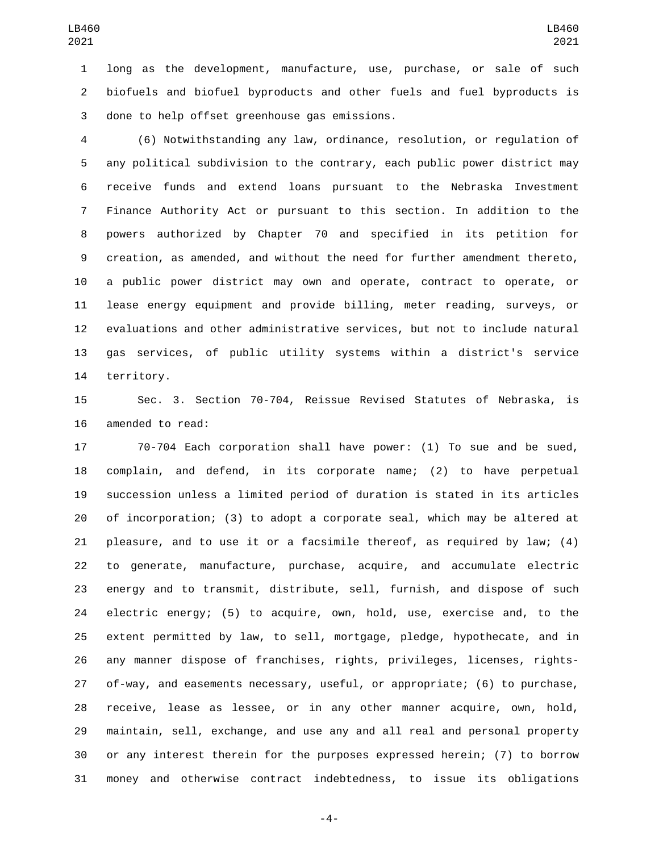long as the development, manufacture, use, purchase, or sale of such biofuels and biofuel byproducts and other fuels and fuel byproducts is 3 done to help offset greenhouse gas emissions.

 (6) Notwithstanding any law, ordinance, resolution, or regulation of any political subdivision to the contrary, each public power district may receive funds and extend loans pursuant to the Nebraska Investment Finance Authority Act or pursuant to this section. In addition to the powers authorized by Chapter 70 and specified in its petition for creation, as amended, and without the need for further amendment thereto, a public power district may own and operate, contract to operate, or lease energy equipment and provide billing, meter reading, surveys, or evaluations and other administrative services, but not to include natural gas services, of public utility systems within a district's service 14 territory.

 Sec. 3. Section 70-704, Reissue Revised Statutes of Nebraska, is 16 amended to read:

 70-704 Each corporation shall have power: (1) To sue and be sued, complain, and defend, in its corporate name; (2) to have perpetual succession unless a limited period of duration is stated in its articles of incorporation; (3) to adopt a corporate seal, which may be altered at pleasure, and to use it or a facsimile thereof, as required by law; (4) to generate, manufacture, purchase, acquire, and accumulate electric energy and to transmit, distribute, sell, furnish, and dispose of such electric energy; (5) to acquire, own, hold, use, exercise and, to the extent permitted by law, to sell, mortgage, pledge, hypothecate, and in any manner dispose of franchises, rights, privileges, licenses, rights- of-way, and easements necessary, useful, or appropriate; (6) to purchase, receive, lease as lessee, or in any other manner acquire, own, hold, maintain, sell, exchange, and use any and all real and personal property or any interest therein for the purposes expressed herein; (7) to borrow money and otherwise contract indebtedness, to issue its obligations

-4-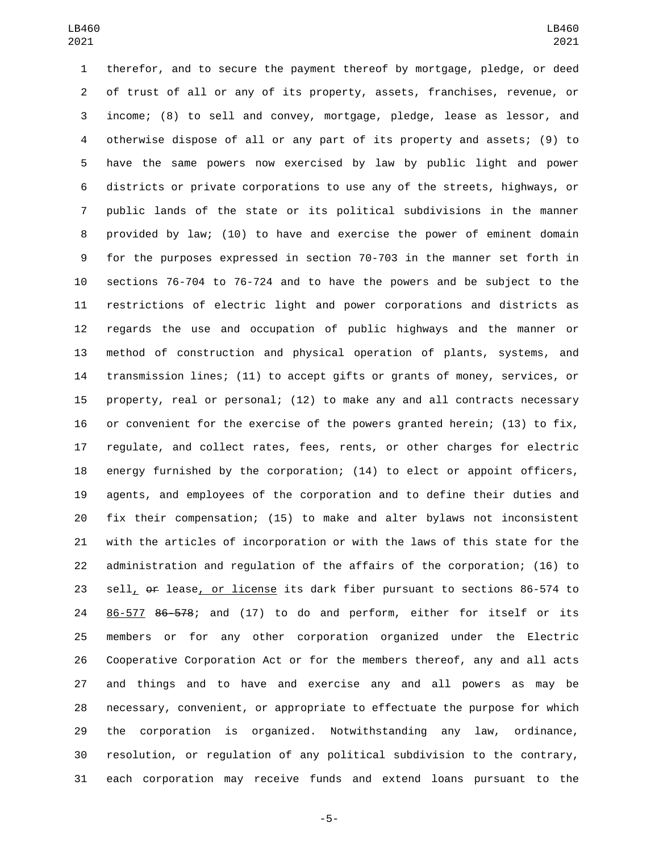therefor, and to secure the payment thereof by mortgage, pledge, or deed of trust of all or any of its property, assets, franchises, revenue, or income; (8) to sell and convey, mortgage, pledge, lease as lessor, and otherwise dispose of all or any part of its property and assets; (9) to have the same powers now exercised by law by public light and power districts or private corporations to use any of the streets, highways, or public lands of the state or its political subdivisions in the manner provided by law; (10) to have and exercise the power of eminent domain for the purposes expressed in section 70-703 in the manner set forth in sections 76-704 to 76-724 and to have the powers and be subject to the restrictions of electric light and power corporations and districts as regards the use and occupation of public highways and the manner or method of construction and physical operation of plants, systems, and transmission lines; (11) to accept gifts or grants of money, services, or property, real or personal; (12) to make any and all contracts necessary or convenient for the exercise of the powers granted herein; (13) to fix, regulate, and collect rates, fees, rents, or other charges for electric energy furnished by the corporation; (14) to elect or appoint officers, agents, and employees of the corporation and to define their duties and fix their compensation; (15) to make and alter bylaws not inconsistent with the articles of incorporation or with the laws of this state for the administration and regulation of the affairs of the corporation; (16) to sell, or lease, or license its dark fiber pursuant to sections 86-574 to 86-577 86-578; and (17) to do and perform, either for itself or its members or for any other corporation organized under the Electric Cooperative Corporation Act or for the members thereof, any and all acts and things and to have and exercise any and all powers as may be necessary, convenient, or appropriate to effectuate the purpose for which the corporation is organized. Notwithstanding any law, ordinance, resolution, or regulation of any political subdivision to the contrary, each corporation may receive funds and extend loans pursuant to the

-5-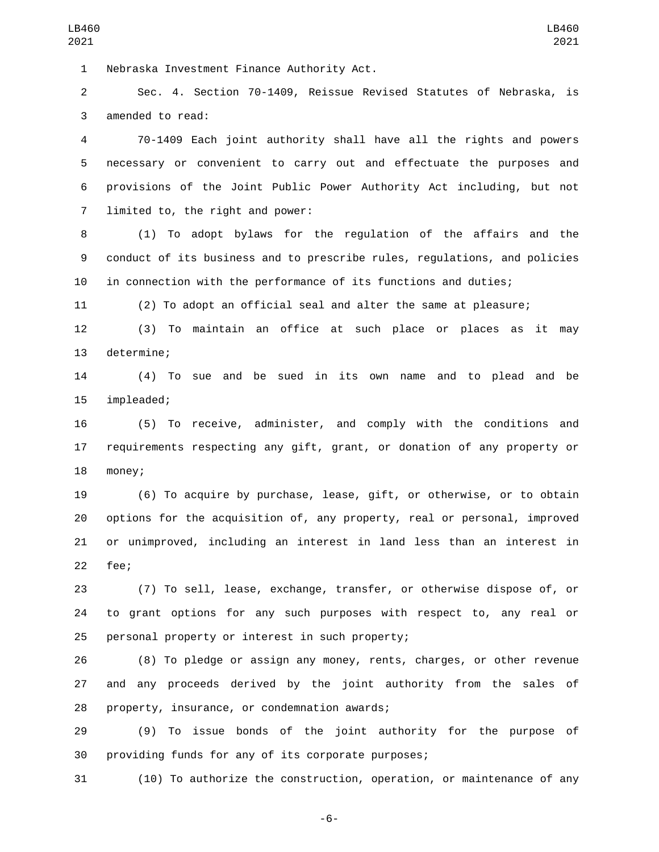1 Nebraska Investment Finance Authority Act.

 Sec. 4. Section 70-1409, Reissue Revised Statutes of Nebraska, is 3 amended to read:

 70-1409 Each joint authority shall have all the rights and powers necessary or convenient to carry out and effectuate the purposes and provisions of the Joint Public Power Authority Act including, but not 7 limited to, the right and power:

 (1) To adopt bylaws for the regulation of the affairs and the conduct of its business and to prescribe rules, regulations, and policies in connection with the performance of its functions and duties;

(2) To adopt an official seal and alter the same at pleasure;

 (3) To maintain an office at such place or places as it may 13 determine;

 (4) To sue and be sued in its own name and to plead and be 15 impleaded;

 (5) To receive, administer, and comply with the conditions and requirements respecting any gift, grant, or donation of any property or 18 money;

 (6) To acquire by purchase, lease, gift, or otherwise, or to obtain options for the acquisition of, any property, real or personal, improved or unimproved, including an interest in land less than an interest in 22 fee;

 (7) To sell, lease, exchange, transfer, or otherwise dispose of, or to grant options for any such purposes with respect to, any real or 25 personal property or interest in such property;

 (8) To pledge or assign any money, rents, charges, or other revenue and any proceeds derived by the joint authority from the sales of 28 property, insurance, or condemnation awards;

 (9) To issue bonds of the joint authority for the purpose of providing funds for any of its corporate purposes;

(10) To authorize the construction, operation, or maintenance of any

-6-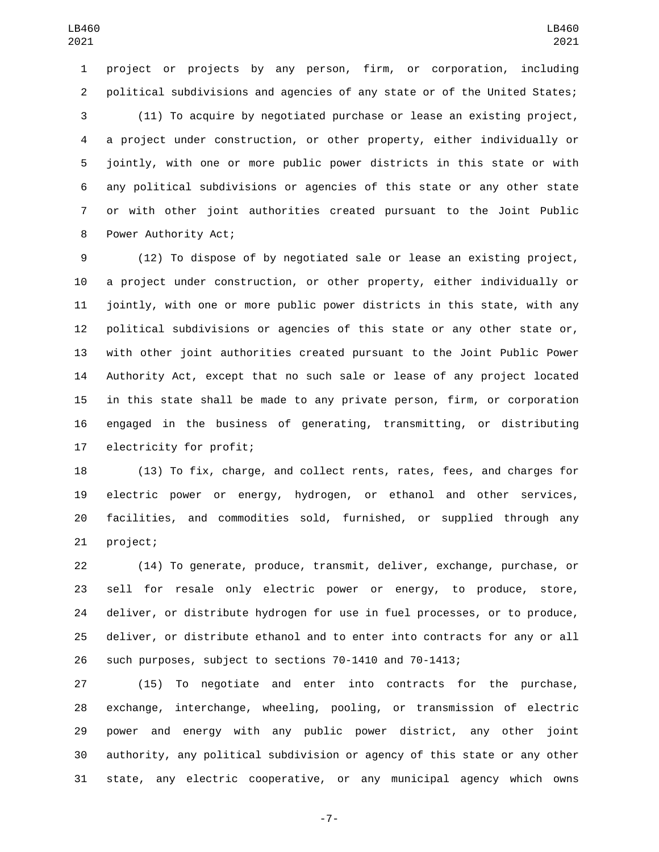project or projects by any person, firm, or corporation, including political subdivisions and agencies of any state or of the United States; (11) To acquire by negotiated purchase or lease an existing project, a project under construction, or other property, either individually or jointly, with one or more public power districts in this state or with any political subdivisions or agencies of this state or any other state or with other joint authorities created pursuant to the Joint Public 8 Power Authority Act;

 (12) To dispose of by negotiated sale or lease an existing project, a project under construction, or other property, either individually or jointly, with one or more public power districts in this state, with any political subdivisions or agencies of this state or any other state or, with other joint authorities created pursuant to the Joint Public Power Authority Act, except that no such sale or lease of any project located in this state shall be made to any private person, firm, or corporation engaged in the business of generating, transmitting, or distributing 17 electricity for profit;

 (13) To fix, charge, and collect rents, rates, fees, and charges for electric power or energy, hydrogen, or ethanol and other services, facilities, and commodities sold, furnished, or supplied through any 21 project;

 (14) To generate, produce, transmit, deliver, exchange, purchase, or sell for resale only electric power or energy, to produce, store, deliver, or distribute hydrogen for use in fuel processes, or to produce, deliver, or distribute ethanol and to enter into contracts for any or all such purposes, subject to sections 70-1410 and 70-1413;

 (15) To negotiate and enter into contracts for the purchase, exchange, interchange, wheeling, pooling, or transmission of electric power and energy with any public power district, any other joint authority, any political subdivision or agency of this state or any other state, any electric cooperative, or any municipal agency which owns

-7-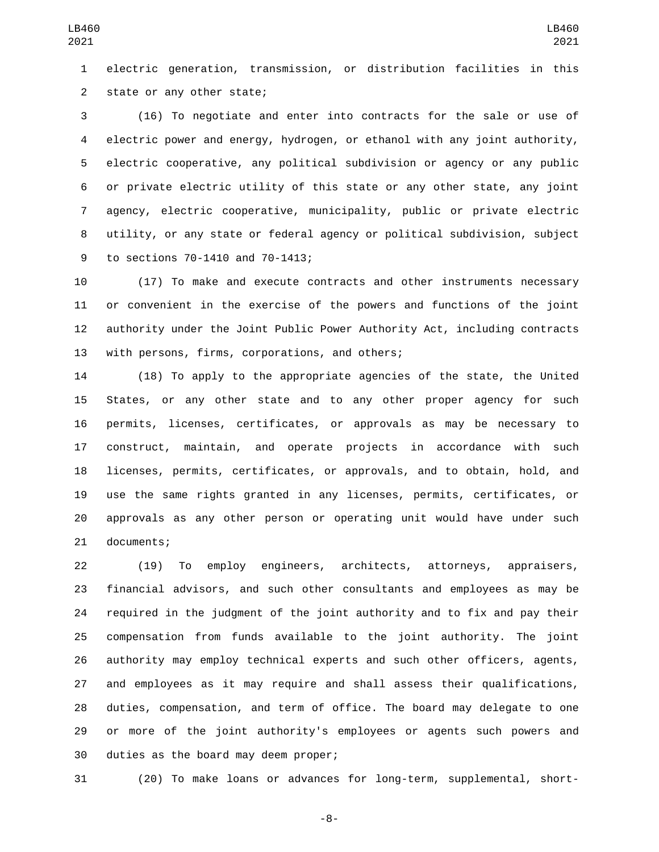electric generation, transmission, or distribution facilities in this 2 state or any other state;

 (16) To negotiate and enter into contracts for the sale or use of electric power and energy, hydrogen, or ethanol with any joint authority, electric cooperative, any political subdivision or agency or any public or private electric utility of this state or any other state, any joint agency, electric cooperative, municipality, public or private electric utility, or any state or federal agency or political subdivision, subject 9 to sections 70-1410 and 70-1413;

 (17) To make and execute contracts and other instruments necessary or convenient in the exercise of the powers and functions of the joint authority under the Joint Public Power Authority Act, including contracts 13 with persons, firms, corporations, and others;

 (18) To apply to the appropriate agencies of the state, the United States, or any other state and to any other proper agency for such permits, licenses, certificates, or approvals as may be necessary to construct, maintain, and operate projects in accordance with such licenses, permits, certificates, or approvals, and to obtain, hold, and use the same rights granted in any licenses, permits, certificates, or approvals as any other person or operating unit would have under such 21 documents;

 (19) To employ engineers, architects, attorneys, appraisers, financial advisors, and such other consultants and employees as may be required in the judgment of the joint authority and to fix and pay their compensation from funds available to the joint authority. The joint authority may employ technical experts and such other officers, agents, and employees as it may require and shall assess their qualifications, duties, compensation, and term of office. The board may delegate to one or more of the joint authority's employees or agents such powers and 30 duties as the board may deem proper;

(20) To make loans or advances for long-term, supplemental, short-

-8-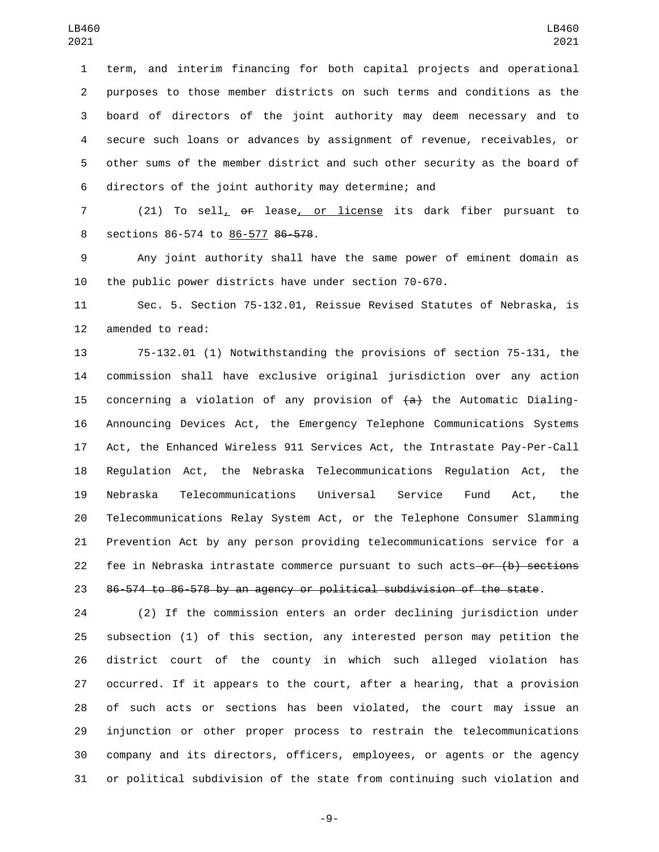term, and interim financing for both capital projects and operational purposes to those member districts on such terms and conditions as the board of directors of the joint authority may deem necessary and to secure such loans or advances by assignment of revenue, receivables, or other sums of the member district and such other security as the board of directors of the joint authority may determine; and

 (21) To sell, or lease, or license its dark fiber pursuant to 8 sections 86-574 to 86-577 86-578.

 Any joint authority shall have the same power of eminent domain as the public power districts have under section 70-670.

 Sec. 5. Section 75-132.01, Reissue Revised Statutes of Nebraska, is 12 amended to read:

 75-132.01 (1) Notwithstanding the provisions of section 75-131, the commission shall have exclusive original jurisdiction over any action 15 concerning a violation of any provision of  $\{a\}$  the Automatic Dialing- Announcing Devices Act, the Emergency Telephone Communications Systems Act, the Enhanced Wireless 911 Services Act, the Intrastate Pay-Per-Call Regulation Act, the Nebraska Telecommunications Regulation Act, the Nebraska Telecommunications Universal Service Fund Act, the Telecommunications Relay System Act, or the Telephone Consumer Slamming Prevention Act by any person providing telecommunications service for a 22 fee in Nebraska intrastate commerce pursuant to such acts-or (b) sections 86-574 to 86-578 by an agency or political subdivision of the state.

 (2) If the commission enters an order declining jurisdiction under subsection (1) of this section, any interested person may petition the district court of the county in which such alleged violation has occurred. If it appears to the court, after a hearing, that a provision of such acts or sections has been violated, the court may issue an injunction or other proper process to restrain the telecommunications company and its directors, officers, employees, or agents or the agency or political subdivision of the state from continuing such violation and

-9-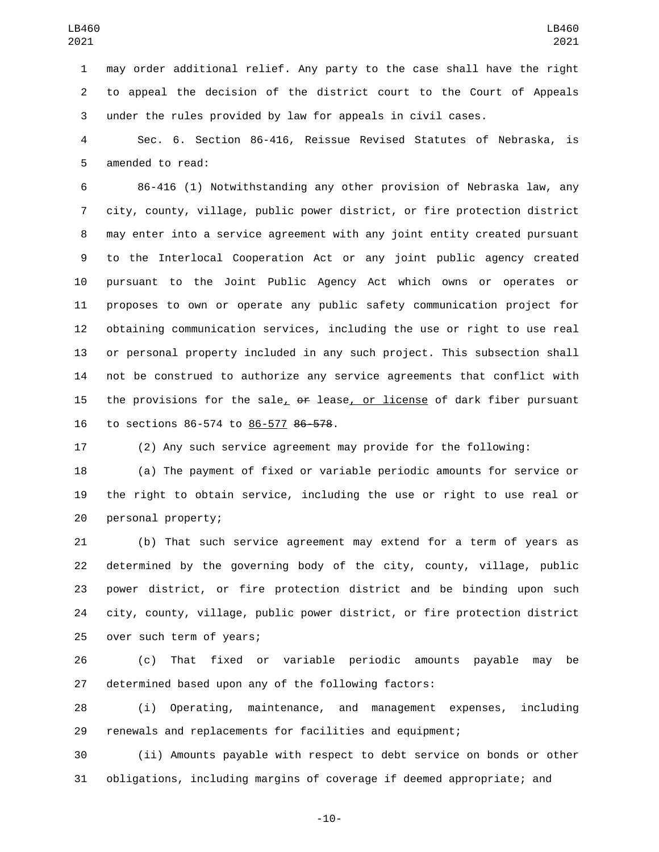may order additional relief. Any party to the case shall have the right to appeal the decision of the district court to the Court of Appeals under the rules provided by law for appeals in civil cases.

 Sec. 6. Section 86-416, Reissue Revised Statutes of Nebraska, is 5 amended to read:

 86-416 (1) Notwithstanding any other provision of Nebraska law, any city, county, village, public power district, or fire protection district may enter into a service agreement with any joint entity created pursuant to the Interlocal Cooperation Act or any joint public agency created pursuant to the Joint Public Agency Act which owns or operates or proposes to own or operate any public safety communication project for obtaining communication services, including the use or right to use real or personal property included in any such project. This subsection shall not be construed to authorize any service agreements that conflict with the provisions for the sale, or lease, or license of dark fiber pursuant 16 to sections 86-574 to 86-577 86-578.

(2) Any such service agreement may provide for the following:

 (a) The payment of fixed or variable periodic amounts for service or the right to obtain service, including the use or right to use real or 20 personal property;

 (b) That such service agreement may extend for a term of years as determined by the governing body of the city, county, village, public power district, or fire protection district and be binding upon such city, county, village, public power district, or fire protection district 25 over such term of years;

 (c) That fixed or variable periodic amounts payable may be determined based upon any of the following factors:

 (i) Operating, maintenance, and management expenses, including renewals and replacements for facilities and equipment;

 (ii) Amounts payable with respect to debt service on bonds or other obligations, including margins of coverage if deemed appropriate; and

-10-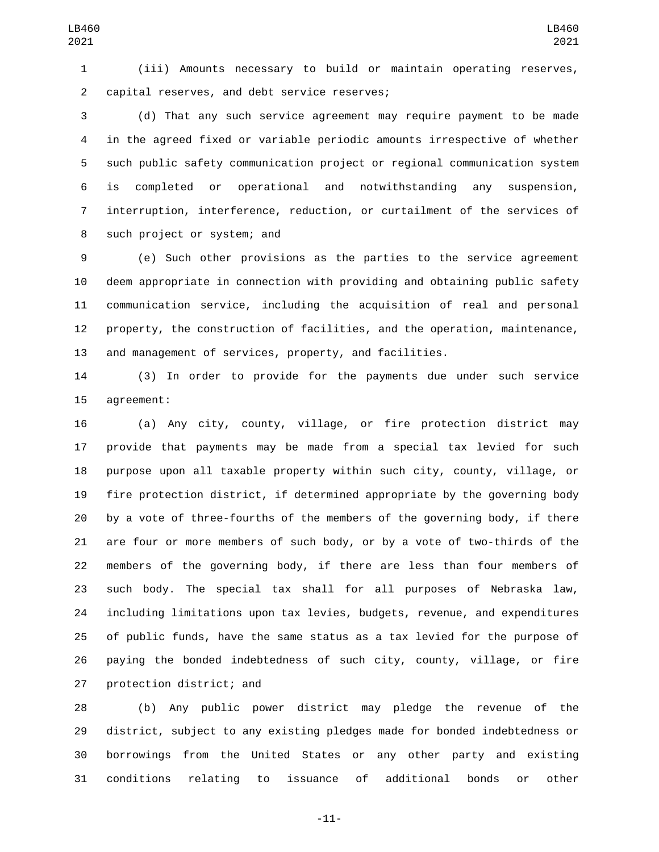(iii) Amounts necessary to build or maintain operating reserves, 2 capital reserves, and debt service reserves;

 (d) That any such service agreement may require payment to be made in the agreed fixed or variable periodic amounts irrespective of whether such public safety communication project or regional communication system is completed or operational and notwithstanding any suspension, interruption, interference, reduction, or curtailment of the services of 8 such project or system; and

 (e) Such other provisions as the parties to the service agreement deem appropriate in connection with providing and obtaining public safety communication service, including the acquisition of real and personal property, the construction of facilities, and the operation, maintenance, and management of services, property, and facilities.

 (3) In order to provide for the payments due under such service 15 agreement:

 (a) Any city, county, village, or fire protection district may provide that payments may be made from a special tax levied for such purpose upon all taxable property within such city, county, village, or fire protection district, if determined appropriate by the governing body by a vote of three-fourths of the members of the governing body, if there are four or more members of such body, or by a vote of two-thirds of the members of the governing body, if there are less than four members of such body. The special tax shall for all purposes of Nebraska law, including limitations upon tax levies, budgets, revenue, and expenditures of public funds, have the same status as a tax levied for the purpose of paying the bonded indebtedness of such city, county, village, or fire 27 protection district; and

 (b) Any public power district may pledge the revenue of the district, subject to any existing pledges made for bonded indebtedness or borrowings from the United States or any other party and existing conditions relating to issuance of additional bonds or other

-11-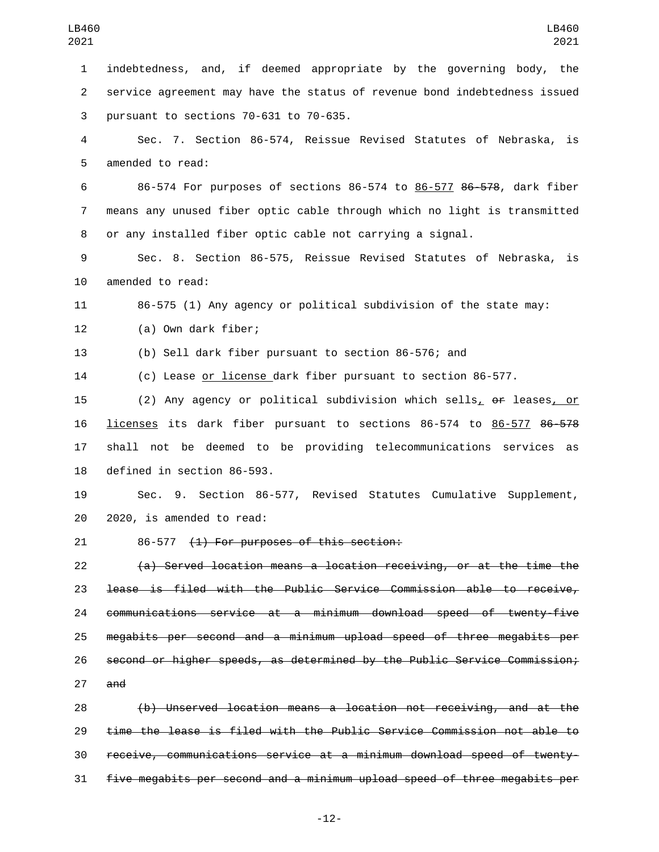indebtedness, and, if deemed appropriate by the governing body, the service agreement may have the status of revenue bond indebtedness issued 3 pursuant to sections  $70-631$  to  $70-635$ . Sec. 7. Section 86-574, Reissue Revised Statutes of Nebraska, is 5 amended to read: 86-574 For purposes of sections 86-574 to 86-577 86-578, dark fiber

 means any unused fiber optic cable through which no light is transmitted or any installed fiber optic cable not carrying a signal.

 Sec. 8. Section 86-575, Reissue Revised Statutes of Nebraska, is 10 amended to read:

86-575 (1) Any agency or political subdivision of the state may:

12 (a) Own dark fiber;

(b) Sell dark fiber pursuant to section 86-576; and

(c) Lease or license dark fiber pursuant to section 86-577.

15 (2) Any agency or political subdivision which sells,  $\rho$  leases, or licenses its dark fiber pursuant to sections 86-574 to 86-577 86-578 shall not be deemed to be providing telecommunications services as 18 defined in section 86-593.

 Sec. 9. Section 86-577, Revised Statutes Cumulative Supplement, 20 2020, is amended to read:

21 86-577 <del>(1) For purposes of this section:</del>

 (a) Served location means a location receiving, or at the time the lease is filed with the Public Service Commission able to receive, communications service at a minimum download speed of twenty-five megabits per second and a minimum upload speed of three megabits per second or higher speeds, as determined by the Public Service Commission; and

 (b) Unserved location means a location not receiving, and at the time the lease is filed with the Public Service Commission not able to receive, communications service at a minimum download speed of twenty-five megabits per second and a minimum upload speed of three megabits per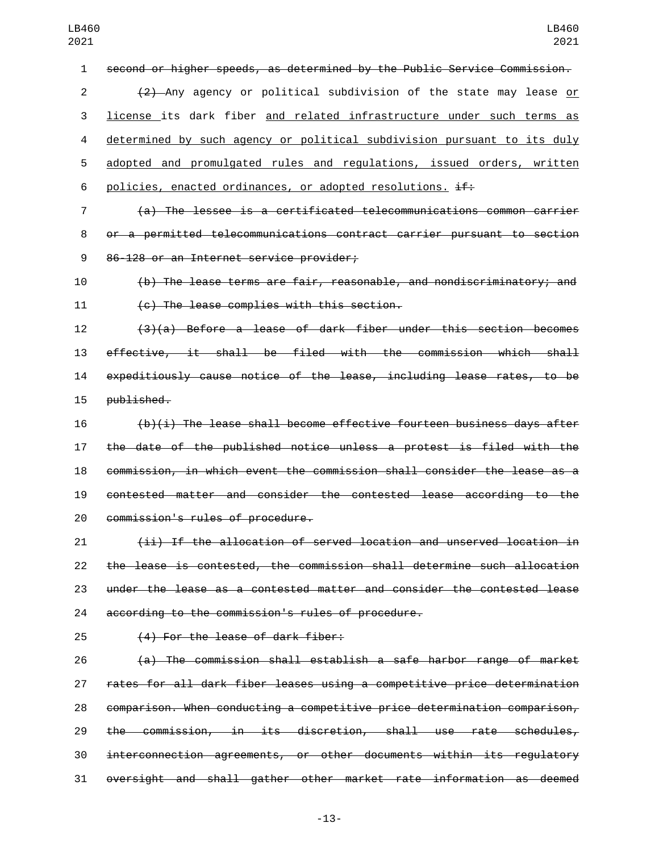second or higher speeds, as determined by the Public Service Commission.

 (2) Any agency or political subdivision of the state may lease or license its dark fiber and related infrastructure under such terms as determined by such agency or political subdivision pursuant to its duly adopted and promulgated rules and regulations, issued orders, written 6 policies, enacted ordinances, or adopted resolutions.  $\pm f$ :

 (a) The lessee is a certificated telecommunications common carrier or a permitted telecommunications contract carrier pursuant to section 86-128 or an Internet service provider;

 (b) The lease terms are fair, reasonable, and nondiscriminatory; and 11 (c) The lease complies with this section.

 (3)(a) Before a lease of dark fiber under this section becomes effective, it shall be filed with the commission which shall expeditiously cause notice of the lease, including lease rates, to be 15 published.

 (b)(i) The lease shall become effective fourteen business days after the date of the published notice unless a protest is filed with the commission, in which event the commission shall consider the lease as a contested matter and consider the contested lease according to the 20 commission's rules of procedure.

 (ii) If the allocation of served location and unserved location in the lease is contested, the commission shall determine such allocation under the lease as a contested matter and consider the contested lease 24 according to the commission's rules of procedure.

25 (4) For the lease of dark fiber:

 (a) The commission shall establish a safe harbor range of market rates for all dark fiber leases using a competitive price determination comparison. When conducting a competitive price determination comparison, the commission, in its discretion, shall use rate schedules, interconnection agreements, or other documents within its regulatory oversight and shall gather other market rate information as deemed